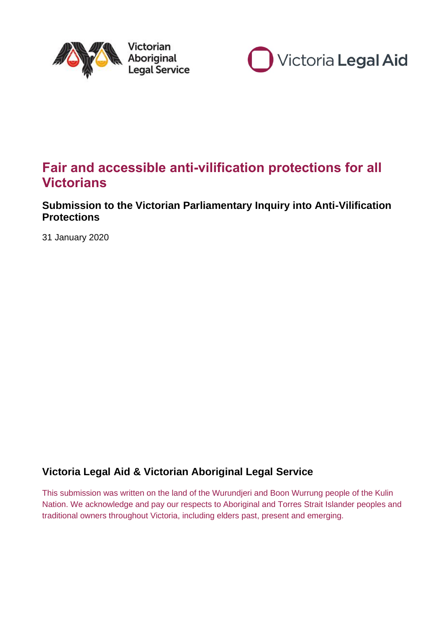



# **Fair and accessible anti-vilification protections for all Victorians**

# **Submission to the Victorian Parliamentary Inquiry into Anti-Vilification Protections**

31 January 2020

# **Victoria Legal Aid & Victorian Aboriginal Legal Service**

This submission was written on the land of the Wurundjeri and Boon Wurrung people of the Kulin Nation. We acknowledge and pay our respects to Aboriginal and Torres Strait Islander peoples and traditional owners throughout Victoria, including elders past, present and emerging.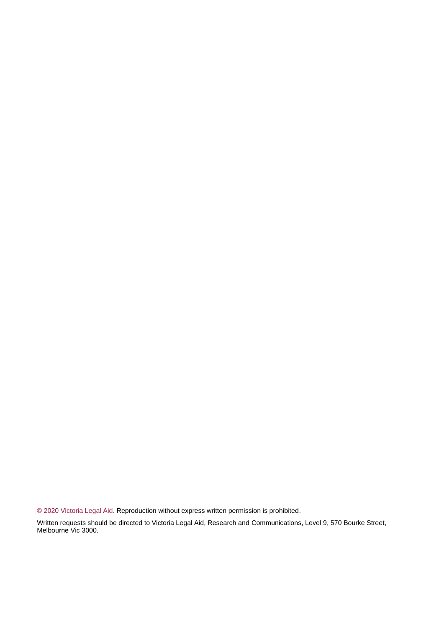© 2020 Victoria Legal Aid. Reproduction without express written permission is prohibited.

Written requests should be directed to Victoria Legal Aid, Research and Communications, Level 9, 570 Bourke Street, Melbourne Vic 3000.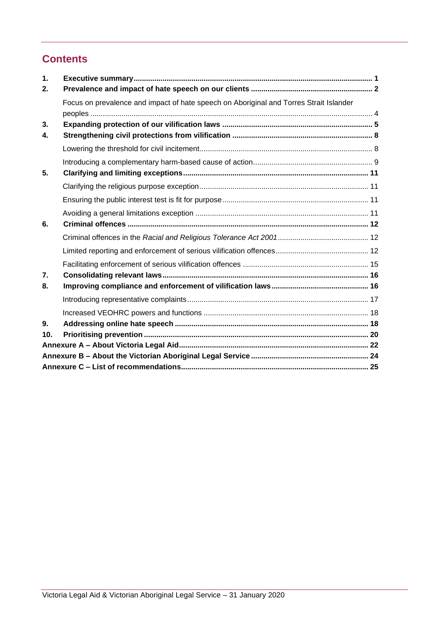# **Contents**

| $\mathbf 1$ .  |                                                                                        |  |  |  |  |
|----------------|----------------------------------------------------------------------------------------|--|--|--|--|
| 2.             |                                                                                        |  |  |  |  |
|                | Focus on prevalence and impact of hate speech on Aboriginal and Torres Strait Islander |  |  |  |  |
|                |                                                                                        |  |  |  |  |
| 3.             |                                                                                        |  |  |  |  |
| $\mathbf{4}$   |                                                                                        |  |  |  |  |
|                |                                                                                        |  |  |  |  |
|                |                                                                                        |  |  |  |  |
| 5.             |                                                                                        |  |  |  |  |
|                |                                                                                        |  |  |  |  |
|                |                                                                                        |  |  |  |  |
|                |                                                                                        |  |  |  |  |
| 6.             |                                                                                        |  |  |  |  |
|                |                                                                                        |  |  |  |  |
|                |                                                                                        |  |  |  |  |
|                |                                                                                        |  |  |  |  |
| 7.             |                                                                                        |  |  |  |  |
| 8.             |                                                                                        |  |  |  |  |
|                |                                                                                        |  |  |  |  |
|                |                                                                                        |  |  |  |  |
| 9 <sub>1</sub> |                                                                                        |  |  |  |  |
| 10.            |                                                                                        |  |  |  |  |
|                |                                                                                        |  |  |  |  |
|                |                                                                                        |  |  |  |  |
|                |                                                                                        |  |  |  |  |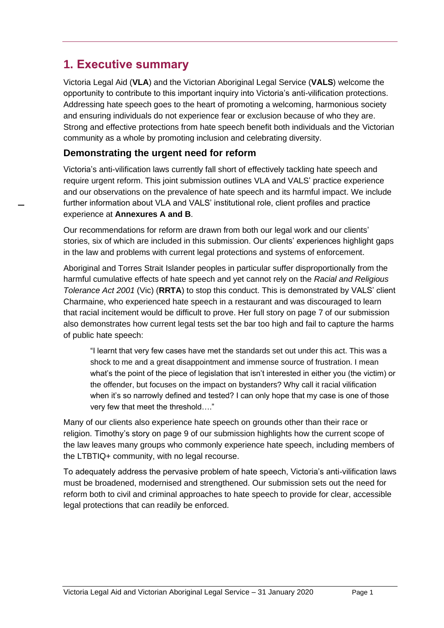# <span id="page-4-0"></span>**1. Executive summary**

Victoria Legal Aid (**VLA**) and the Victorian Aboriginal Legal Service (**VALS**) welcome the opportunity to contribute to this important inquiry into Victoria's anti-vilification protections. Addressing hate speech goes to the heart of promoting a welcoming, harmonious society and ensuring individuals do not experience fear or exclusion because of who they are. Strong and effective protections from hate speech benefit both individuals and the Victorian community as a whole by promoting inclusion and celebrating diversity.

## **Demonstrating the urgent need for reform**

Victoria's anti-vilification laws currently fall short of effectively tackling hate speech and require urgent reform. This joint submission outlines VLA and VALS' practice experience and our observations on the prevalence of hate speech and its harmful impact. We include further information about VLA and VALS' institutional role, client profiles and practice experience at **Annexures A and B**.

Our recommendations for reform are drawn from both our legal work and our clients' stories, six of which are included in this submission. Our clients' experiences highlight gaps in the law and problems with current legal protections and systems of enforcement.

Aboriginal and Torres Strait Islander peoples in particular suffer disproportionally from the harmful cumulative effects of hate speech and yet cannot rely on the *Racial and Religious Tolerance Act 2001* (Vic) (**RRTA**) to stop this conduct. This is demonstrated by VALS' client Charmaine, who experienced hate speech in a restaurant and was discouraged to learn that racial incitement would be difficult to prove. Her full story on page 7 of our submission also demonstrates how current legal tests set the bar too high and fail to capture the harms of public hate speech:

"I learnt that very few cases have met the standards set out under this act. This was a shock to me and a great disappointment and immense source of frustration. I mean what's the point of the piece of legislation that isn't interested in either you (the victim) or the offender, but focuses on the impact on bystanders? Why call it racial vilification when it's so narrowly defined and tested? I can only hope that my case is one of those very few that meet the threshold…."

Many of our clients also experience hate speech on grounds other than their race or religion. Timothy's story on page 9 of our submission highlights how the current scope of the law leaves many groups who commonly experience hate speech, including members of the LTBTIQ+ community, with no legal recourse.

To adequately address the pervasive problem of hate speech, Victoria's anti-vilification laws must be broadened, modernised and strengthened. Our submission sets out the need for reform both to civil and criminal approaches to hate speech to provide for clear, accessible legal protections that can readily be enforced.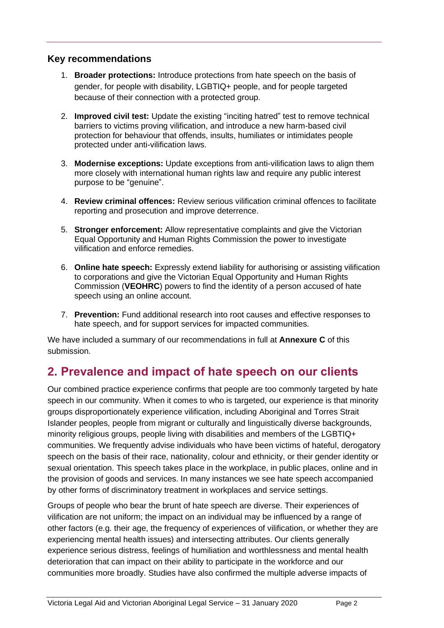## **Key recommendations**

- 1. **Broader protections:** Introduce protections from hate speech on the basis of gender, for people with disability, LGBTIQ+ people, and for people targeted because of their connection with a protected group.
- 2. **Improved civil test:** Update the existing "inciting hatred" test to remove technical barriers to victims proving vilification, and introduce a new harm-based civil protection for behaviour that offends, insults, humiliates or intimidates people protected under anti-vilification laws.
- 3. **Modernise exceptions:** Update exceptions from anti-vilification laws to align them more closely with international human rights law and require any public interest purpose to be "genuine".
- 4. **Review criminal offences:** Review serious vilification criminal offences to facilitate reporting and prosecution and improve deterrence.
- 5. **Stronger enforcement:** Allow representative complaints and give the Victorian Equal Opportunity and Human Rights Commission the power to investigate vilification and enforce remedies.
- 6. **Online hate speech:** Expressly extend liability for authorising or assisting vilification to corporations and give the Victorian Equal Opportunity and Human Rights Commission (**VEOHRC**) powers to find the identity of a person accused of hate speech using an online account.
- 7. **Prevention:** Fund additional research into root causes and effective responses to hate speech, and for support services for impacted communities.

We have included a summary of our recommendations in full at **Annexure C** of this submission.

# <span id="page-5-0"></span>**2. Prevalence and impact of hate speech on our clients**

Our combined practice experience confirms that people are too commonly targeted by hate speech in our community. When it comes to who is targeted, our experience is that minority groups disproportionately experience vilification, including Aboriginal and Torres Strait Islander peoples, people from migrant or culturally and linguistically diverse backgrounds, minority religious groups, people living with disabilities and members of the LGBTIQ+ communities. We frequently advise individuals who have been victims of hateful, derogatory speech on the basis of their race, nationality, colour and ethnicity, or their gender identity or sexual orientation. This speech takes place in the workplace, in public places, online and in the provision of goods and services. In many instances we see hate speech accompanied by other forms of discriminatory treatment in workplaces and service settings.

Groups of people who bear the brunt of hate speech are diverse. Their experiences of vilification are not uniform; the impact on an individual may be influenced by a range of other factors (e.g. their age, the frequency of experiences of vilification, or whether they are experiencing mental health issues) and intersecting attributes. Our clients generally experience serious distress, feelings of humiliation and worthlessness and mental health deterioration that can impact on their ability to participate in the workforce and our communities more broadly. Studies have also confirmed the multiple adverse impacts of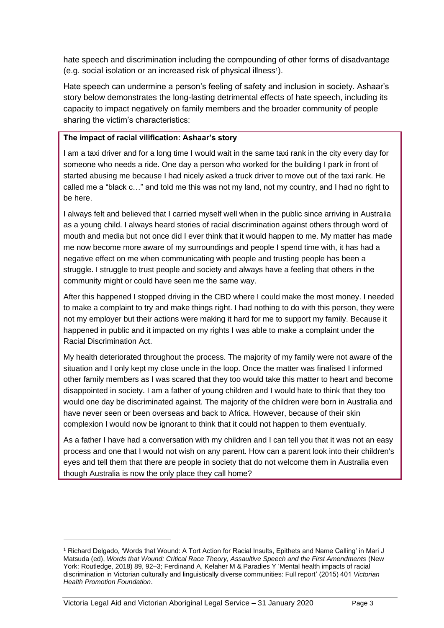hate speech and discrimination including the compounding of other forms of disadvantage (e.g. social isolation or an increased risk of physical illness<sup>1</sup> ).

Hate speech can undermine a person's feeling of safety and inclusion in society. Ashaar's story below demonstrates the long-lasting detrimental effects of hate speech, including its capacity to impact negatively on family members and the broader community of people sharing the victim's characteristics:

#### **The impact of racial vilification: Ashaar's story**

I am a taxi driver and for a long time I would wait in the same taxi rank in the city every day for someone who needs a ride. One day a person who worked for the building I park in front of started abusing me because I had nicely asked a truck driver to move out of the taxi rank. He called me a "black c…" and told me this was not my land, not my country, and I had no right to be here.

I always felt and believed that I carried myself well when in the public since arriving in Australia as a young child. I always heard stories of racial discrimination against others through word of mouth and media but not once did I ever think that it would happen to me. My matter has made me now become more aware of my surroundings and people I spend time with, it has had a negative effect on me when communicating with people and trusting people has been a struggle. I struggle to trust people and society and always have a feeling that others in the community might or could have seen me the same way.

After this happened I stopped driving in the CBD where I could make the most money. I needed to make a complaint to try and make things right. I had nothing to do with this person, they were not my employer but their actions were making it hard for me to support my family. Because it happened in public and it impacted on my rights I was able to make a complaint under the Racial Discrimination Act.

My health deteriorated throughout the process. The majority of my family were not aware of the situation and I only kept my close uncle in the loop. Once the matter was finalised I informed other family members as I was scared that they too would take this matter to heart and become disappointed in society. I am a father of young children and I would hate to think that they too would one day be discriminated against. The majority of the children were born in Australia and have never seen or been overseas and back to Africa. However, because of their skin complexion I would now be ignorant to think that it could not happen to them eventually.

As a father I have had a conversation with my children and I can tell you that it was not an easy process and one that I would not wish on any parent. How can a parent look into their children's eyes and tell them that there are people in society that do not welcome them in Australia even though Australia is now the only place they call home?

<sup>&</sup>lt;sup>1</sup> Richard Delgado, 'Words that Wound: A Tort Action for Racial Insults, Epithets and Name Calling' in Mari J Matsuda (ed), *Words that Wound: Critical Race Theory, Assaultive Speech and the First Amendments* (New York: Routledge, 2018) 89, 92–3; Ferdinand A, Kelaher M & Paradies Y 'Mental health impacts of racial discrimination in Victorian culturally and linguistically diverse communities: Full report' (2015) 401 *Victorian Health Promotion Foundation*.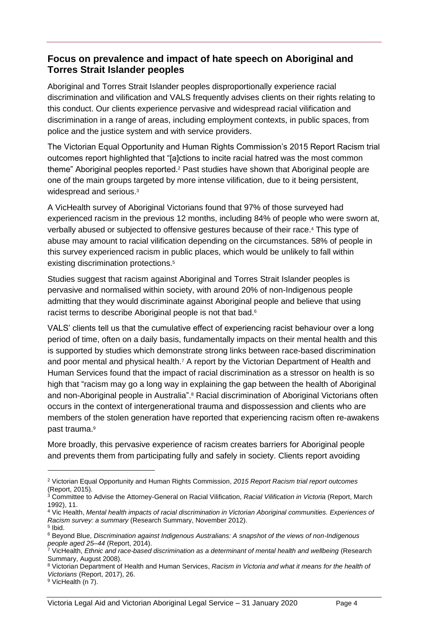## <span id="page-7-0"></span>**Focus on prevalence and impact of hate speech on Aboriginal and Torres Strait Islander peoples**

Aboriginal and Torres Strait Islander peoples disproportionally experience racial discrimination and vilification and VALS frequently advises clients on their rights relating to this conduct. Our clients experience pervasive and widespread racial vilification and discrimination in a range of areas, including employment contexts, in public spaces, from police and the justice system and with service providers.

The Victorian Equal Opportunity and Human Rights Commission's 2015 Report Racism trial outcomes report highlighted that "[a]ctions to incite racial hatred was the most common theme" Aboriginal peoples reported.<sup>2</sup> Past studies have shown that Aboriginal people are one of the main groups targeted by more intense vilification, due to it being persistent, widespread and serious.<sup>3</sup>

A VicHealth survey of Aboriginal Victorians found that 97% of those surveyed had experienced racism in the previous 12 months, including 84% of people who were sworn at, verbally abused or subjected to offensive gestures because of their race.<sup>4</sup> This type of abuse may amount to racial vilification depending on the circumstances. 58% of people in this survey experienced racism in public places, which would be unlikely to fall within existing discrimination protections.<sup>5</sup>

Studies suggest that racism against Aboriginal and Torres Strait Islander peoples is pervasive and normalised within society, with around 20% of non-Indigenous people admitting that they would discriminate against Aboriginal people and believe that using racist terms to describe Aboriginal people is not that bad.<sup>6</sup>

VALS' clients tell us that the cumulative effect of experiencing racist behaviour over a long period of time, often on a daily basis, fundamentally impacts on their mental health and this is supported by studies which demonstrate strong links between race-based discrimination and poor mental and physical health.<sup>7</sup> A report by the Victorian Department of Health and Human Services found that the impact of racial discrimination as a stressor on health is so high that "racism may go a long way in explaining the gap between the health of Aboriginal and non-Aboriginal people in Australia". <sup>8</sup> Racial discrimination of Aboriginal Victorians often occurs in the context of intergenerational trauma and dispossession and clients who are members of the stolen generation have reported that experiencing racism often re-awakens past trauma.<sup>9</sup>

More broadly, this pervasive experience of racism creates barriers for Aboriginal people and prevents them from participating fully and safely in society. Clients report avoiding

<sup>2</sup> Victorian Equal Opportunity and Human Rights Commission, *2015 Report Racism trial report outcomes* (Report, 2015).

<sup>3</sup> Committee to Advise the Attorney-General on Racial Vilification, *Racial Vilification in Victoria* (Report, March 1992), 11.

<sup>4</sup> Vic Health, *Mental health impacts of racial discrimination in Victorian Aboriginal communities. Experiences of Racism survey: a summary* (Research Summary, November 2012).

<sup>5</sup> Ibid.

<sup>6</sup> Beyond Blue, *Discrimination against Indigenous Australians: A snapshot of the views of non-Indigenous people aged 25–44* (Report, 2014).

<sup>7</sup> VicHealth, *Ethnic and race-based discrimination as a determinant of mental health and wellbeing* (Research Summary, August 2008).

<sup>8</sup> Victorian Department of Health and Human Services, *Racism in Victoria and what it means for the health of Victorians* (Report, 2017), 26.

<sup>&</sup>lt;sup>9</sup> VicHealth (n 7).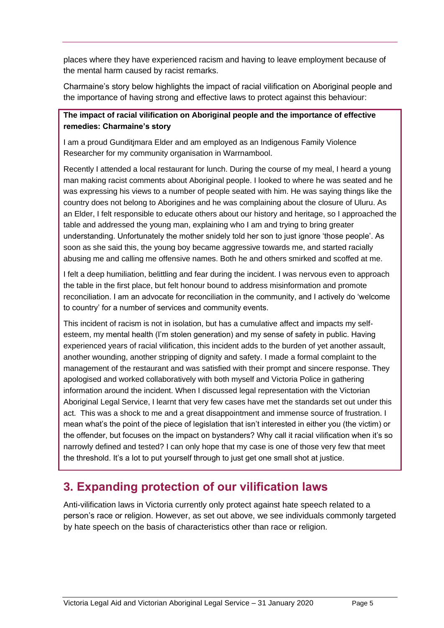places where they have experienced racism and having to leave employment because of the mental harm caused by racist remarks.

Charmaine's story below highlights the impact of racial vilification on Aboriginal people and the importance of having strong and effective laws to protect against this behaviour:

### **The impact of racial vilification on Aboriginal people and the importance of effective remedies: Charmaine's story**

I am a proud Gunditjmara Elder and am employed as an Indigenous Family Violence Researcher for my community organisation in Warrnambool.

Recently I attended a local restaurant for lunch. During the course of my meal, I heard a young man making racist comments about Aboriginal people. I looked to where he was seated and he was expressing his views to a number of people seated with him. He was saying things like the country does not belong to Aborigines and he was complaining about the closure of Uluru. As an Elder, I felt responsible to educate others about our history and heritage, so I approached the table and addressed the young man, explaining who I am and trying to bring greater understanding. Unfortunately the mother snidely told her son to just ignore 'those people'. As soon as she said this, the young boy became aggressive towards me, and started racially abusing me and calling me offensive names. Both he and others smirked and scoffed at me.

I felt a deep humiliation, belittling and fear during the incident. I was nervous even to approach the table in the first place, but felt honour bound to address misinformation and promote reconciliation. I am an advocate for reconciliation in the community, and I actively do 'welcome to country' for a number of services and community events.

This incident of racism is not in isolation, but has a cumulative affect and impacts my selfesteem, my mental health (I'm stolen generation) and my sense of safety in public. Having experienced years of racial vilification, this incident adds to the burden of yet another assault, another wounding, another stripping of dignity and safety. I made a formal complaint to the management of the restaurant and was satisfied with their prompt and sincere response. They apologised and worked collaboratively with both myself and Victoria Police in gathering information around the incident. When I discussed legal representation with the Victorian Aboriginal Legal Service, I learnt that very few cases have met the standards set out under this act. This was a shock to me and a great disappointment and immense source of frustration. I mean what's the point of the piece of legislation that isn't interested in either you (the victim) or the offender, but focuses on the impact on bystanders? Why call it racial vilification when it's so narrowly defined and tested? I can only hope that my case is one of those very few that meet the threshold. It's a lot to put yourself through to just get one small shot at justice.

# <span id="page-8-0"></span>**3. Expanding protection of our vilification laws**

Anti-vilification laws in Victoria currently only protect against hate speech related to a person's race or religion. However, as set out above, we see individuals commonly targeted by hate speech on the basis of characteristics other than race or religion.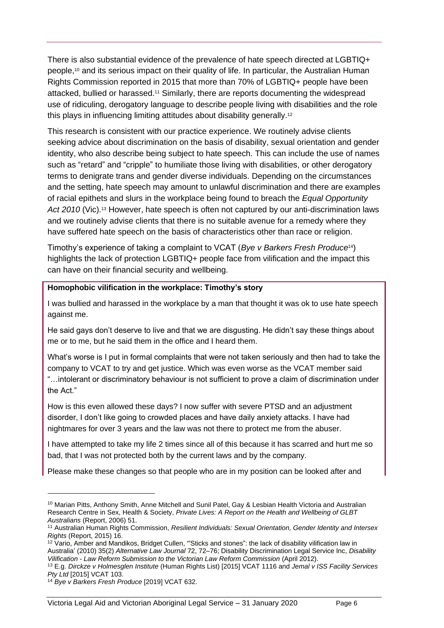There is also substantial evidence of the prevalence of hate speech directed at LGBTIQ+ people, <sup>10</sup> and its serious impact on their quality of life. In particular, the Australian Human Rights Commission reported in 2015 that more than 70% of LGBTIQ+ people have been attacked, bullied or harassed.<sup>11</sup> Similarly, there are reports documenting the widespread use of ridiculing, derogatory language to describe people living with disabilities and the role this plays in influencing limiting attitudes about disability generally.<sup>12</sup>

This research is consistent with our practice experience. We routinely advise clients seeking advice about discrimination on the basis of disability, sexual orientation and gender identity, who also describe being subject to hate speech. This can include the use of names such as "retard" and "cripple" to humiliate those living with disabilities, or other derogatory terms to denigrate trans and gender diverse individuals. Depending on the circumstances and the setting, hate speech may amount to unlawful discrimination and there are examples of racial epithets and slurs in the workplace being found to breach the *Equal Opportunity*  Act 2010 (Vic).<sup>13</sup> However, hate speech is often not captured by our anti-discrimination laws and we routinely advise clients that there is no suitable avenue for a remedy where they have suffered hate speech on the basis of characteristics other than race or religion.

Timothy's experience of taking a complaint to VCAT (*Bye v Barkers Fresh Produce*14) highlights the lack of protection LGBTIQ+ people face from vilification and the impact this can have on their financial security and wellbeing.

#### **Homophobic vilification in the workplace: Timothy's story**

I was bullied and harassed in the workplace by a man that thought it was ok to use hate speech against me.

He said gays don't deserve to live and that we are disgusting. He didn't say these things about me or to me, but he said them in the office and I heard them.

What's worse is I put in formal complaints that were not taken seriously and then had to take the company to VCAT to try and get justice. Which was even worse as the VCAT member said "…intolerant or discriminatory behaviour is not sufficient to prove a claim of discrimination under the Act."

How is this even allowed these days? I now suffer with severe PTSD and an adjustment disorder, I don't like going to crowded places and have daily anxiety attacks. I have had nightmares for over 3 years and the law was not there to protect me from the abuser.

I have attempted to take my life 2 times since all of this because it has scarred and hurt me so bad, that I was not protected both by the current laws and by the company.

Please make these changes so that people who are in my position can be looked after and

<sup>&</sup>lt;sup>10</sup> Marian Pitts, Anthony Smith, Anne Mitchell and Sunil Patel, Gay & Lesbian Health Victoria and Australian Research Centre in Sex, Health & Society, *Private Lives: A Report on the Health and Wellbeing of GLBT Australians* (Report, 2006) 51.

<sup>11</sup> Australian Human Rights Commission, *Resilient Individuals: Sexual Orientation, Gender Identity and Intersex Rights* (Report, 2015) 16.

<sup>&</sup>lt;sup>12</sup> Vario, Amber and Mandikos, Bridget Cullen, "Sticks and stones": the lack of disability vilification law in Australia' (2010) 35(2) *Alternative Law Journal* 72, 72–76; Disability Discrimination Legal Service Inc, *Disability Vilification - Law Reform Submission to the Victorian Law Reform Commission* (April 2012).

<sup>13</sup> E.g. *Dirckze v Holmesglen Institute* (Human Rights List) [2015] VCAT 1116 and *Jemal v ISS Facility Services Pty Ltd* [2015] VCAT 103.

<sup>14</sup> *Bye v Barkers Fresh Produce* [2019] VCAT 632.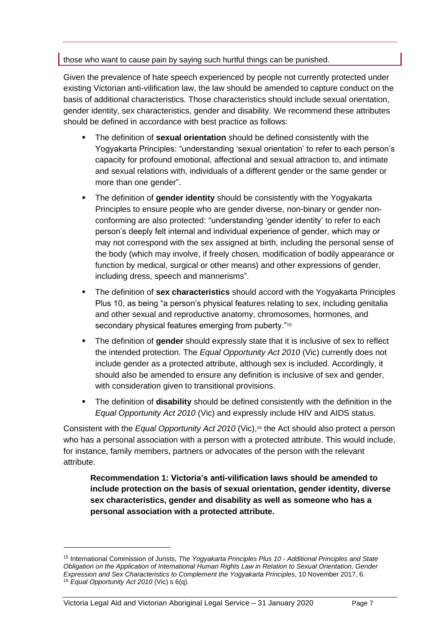#### those who want to cause pain by saying such hurtful things can be punished.

Given the prevalence of hate speech experienced by people not currently protected under existing Victorian anti-vilification law, the law should be amended to capture conduct on the basis of additional characteristics. Those characteristics should include sexual orientation, gender identity, sex characteristics, gender and disability. We recommend these attributes should be defined in accordance with best practice as follows:

- The definition of **sexual orientation** should be defined consistently with the Yogyakarta Principles: "understanding 'sexual orientation' to refer to each person's capacity for profound emotional, affectional and sexual attraction to, and intimate and sexual relations with, individuals of a different gender or the same gender or more than one gender".
- The definition of gender identity should be consistently with the Yogyakarta Principles to ensure people who are gender diverse, non-binary or gender nonconforming are also protected: "understanding 'gender identity' to refer to each person's deeply felt internal and individual experience of gender, which may or may not correspond with the sex assigned at birth, including the personal sense of the body (which may involve, if freely chosen, modification of bodily appearance or function by medical, surgical or other means) and other expressions of gender, including dress, speech and mannerisms".
- The definition of **sex characteristics** should accord with the Yogyakarta Principles Plus 10, as being "a person's physical features relating to sex, including genitalia and other sexual and reproductive anatomy, chromosomes, hormones, and secondary physical features emerging from puberty."<sup>15</sup>
- The definition of **gender** should expressly state that it is inclusive of sex to reflect the intended protection. The *Equal Opportunity Act 2010* (Vic) currently does not include gender as a protected attribute, although sex is included. Accordingly, it should also be amended to ensure any definition is inclusive of sex and gender, with consideration given to transitional provisions.
- The definition of **disability** should be defined consistently with the definition in the *Equal Opportunity Act 2010* (Vic) and expressly include HIV and AIDS status.

Consistent with the *Equal Opportunity Act 2010* (Vic),<sup>16</sup> the Act should also protect a person who has a personal association with a person with a protected attribute. This would include, for instance, family members, partners or advocates of the person with the relevant attribute.

**Recommendation 1: Victoria's anti-vilification laws should be amended to include protection on the basis of sexual orientation, gender identity, diverse sex characteristics, gender and disability as well as someone who has a personal association with a protected attribute.** 

<sup>15</sup> International Commission of Jurists, *The Yogyakarta Principles Plus 10 - Additional Principles and State Obligation on the Application of International Human Rights Law in Relation to Sexual Orientation, Gender Expression and Sex Characteristics to Complement the Yogyakarta Principles*, 10 November 2017, 6. <sup>16</sup> *Equal Opportunity Act 2010* (Vic) s 6(q).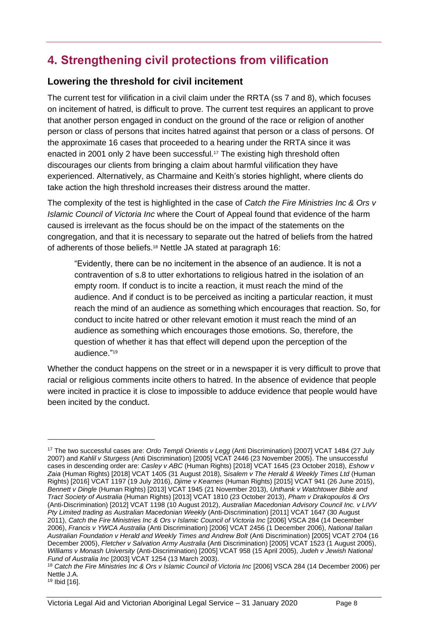# <span id="page-11-0"></span>**4. Strengthening civil protections from vilification**

## <span id="page-11-1"></span>**Lowering the threshold for civil incitement**

The current test for vilification in a civil claim under the RRTA (ss 7 and 8), which focuses on incitement of hatred, is difficult to prove. The current test requires an applicant to prove that another person engaged in conduct on the ground of the race or religion of another person or class of persons that incites hatred against that person or a class of persons. Of the approximate 16 cases that proceeded to a hearing under the RRTA since it was enacted in 2001 only 2 have been successful.<sup>17</sup> The existing high threshold often discourages our clients from bringing a claim about harmful vilification they have experienced. Alternatively, as Charmaine and Keith's stories highlight, where clients do take action the high threshold increases their distress around the matter.

The complexity of the test is highlighted in the case of *Catch the Fire Ministries Inc & Ors v Islamic Council of Victoria Inc* where the Court of Appeal found that evidence of the harm caused is irrelevant as the focus should be on the impact of the statements on the congregation, and that it is necessary to separate out the hatred of beliefs from the hatred of adherents of those beliefs.<sup>18</sup> Nettle JA stated at paragraph 16:

"Evidently, there can be no incitement in the absence of an audience. It is not a contravention of s.8 to utter exhortations to religious hatred in the isolation of an empty room. If conduct is to incite a reaction, it must reach the mind of the audience. And if conduct is to be perceived as inciting a particular reaction, it must reach the mind of an audience as something which encourages that reaction. So, for conduct to incite hatred or other relevant emotion it must reach the mind of an audience as something which encourages those emotions. So, therefore, the question of whether it has that effect will depend upon the perception of the audience." 19

Whether the conduct happens on the street or in a newspaper it is very difficult to prove that racial or religious comments incite others to hatred. In the absence of evidence that people were incited in practice it is close to impossible to adduce evidence that people would have been incited by the conduct.

<sup>17</sup> The two successful cases are: *Ordo Templi Orientis v Legg* (Anti Discrimination) [2007] VCAT 1484 (27 July 2007) and *Kahlil v Sturgess* (Anti Discrimination) [2005] VCAT 2446 (23 November 2005). The unsuccessful cases in descending order are: *Casley v ABC* (Human Rights) [2018] VCAT 1645 (23 October 2018), *Eshow v Zaia* (Human Rights) [2018] VCAT 1405 (31 August 2018), S*isalem v The Herald & Weekly Times Ltd* (Human Rights) [2016] VCAT 1197 (19 July 2016), *Djime v Kearnes* (Human Rights) [2015] VCAT 941 (26 June 2015), *Bennett v Dingle* (Human Rights) [2013] VCAT 1945 (21 November 2013), *Unthank v Watchtower Bible and Tract Society of Australia* (Human Rights) [2013] VCAT 1810 (23 October 2013), *Pham v Drakopoulos & Ors* (Anti-Discrimination) [2012] VCAT 1198 (10 August 2012), *Australian Macedonian Advisory Council Inc. v LIVV Pty Limited trading as Australian Macedonian Weekly* (Anti-Discrimination) [2011] VCAT 1647 (30 August 2011), *Catch the Fire Ministries Inc & Ors v Islamic Council of Victoria Inc* [2006] VSCA 284 (14 December 2006), *Francis v YWCA Australia* (Anti Discrimination) [2006] VCAT 2456 (1 December 2006), *National Italian Australian Foundation v Herald and Weekly Times and Andrew Bolt* (Anti Discrimination) [2005] VCAT 2704 (16 December 2005), *Fletcher v Salvation Army Australia* (Anti Discrimination) [2005] VCAT 1523 (1 August 2005), *Williams v Monash University* (Anti-Discrimination) [2005] VCAT 958 (15 April 2005), *Judeh v Jewish National Fund of Australia Inc* [2003] VCAT 1254 (13 March 2003).

<sup>18</sup> *Catch the Fire Ministries Inc & Ors v Islamic Council of Victoria Inc* [2006] VSCA 284 (14 December 2006) per Nettle J.A.

<sup>19</sup> Ibid [16].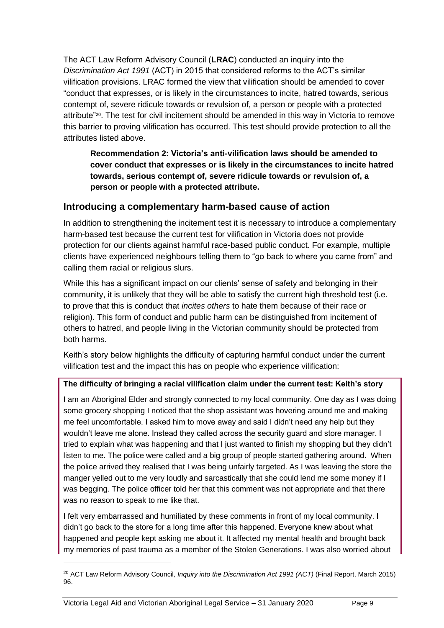The ACT Law Reform Advisory Council (**LRAC**) conducted an inquiry into the *Discrimination Act 1991* (ACT) in 2015 that considered reforms to the ACT's similar vilification provisions. LRAC formed the view that vilification should be amended to cover "conduct that expresses, or is likely in the circumstances to incite, hatred towards, serious contempt of, severe ridicule towards or revulsion of, a person or people with a protected attribute"20. The test for civil incitement should be amended in this way in Victoria to remove this barrier to proving vilification has occurred. This test should provide protection to all the attributes listed above.

**Recommendation 2: Victoria's anti-vilification laws should be amended to cover conduct that expresses or is likely in the circumstances to incite hatred towards, serious contempt of, severe ridicule towards or revulsion of, a person or people with a protected attribute.**

## <span id="page-12-0"></span>**Introducing a complementary harm-based cause of action**

In addition to strengthening the incitement test it is necessary to introduce a complementary harm-based test because the current test for vilification in Victoria does not provide protection for our clients against harmful race-based public conduct. For example, multiple clients have experienced neighbours telling them to "go back to where you came from" and calling them racial or religious slurs.

While this has a significant impact on our clients' sense of safety and belonging in their community, it is unlikely that they will be able to satisfy the current high threshold test (i.e. to prove that this is conduct that *incites others* to hate them because of their race or religion). This form of conduct and public harm can be distinguished from incitement of others to hatred, and people living in the Victorian community should be protected from both harms.

Keith's story below highlights the difficulty of capturing harmful conduct under the current vilification test and the impact this has on people who experience vilification:

## **The difficulty of bringing a racial vilification claim under the current test: Keith's story**

I am an Aboriginal Elder and strongly connected to my local community. One day as I was doing some grocery shopping I noticed that the shop assistant was hovering around me and making me feel uncomfortable. I asked him to move away and said I didn't need any help but they wouldn't leave me alone. Instead they called across the security guard and store manager. I tried to explain what was happening and that I just wanted to finish my shopping but they didn't listen to me. The police were called and a big group of people started gathering around. When the police arrived they realised that I was being unfairly targeted. As I was leaving the store the manger yelled out to me very loudly and sarcastically that she could lend me some money if I was begging. The police officer told her that this comment was not appropriate and that there was no reason to speak to me like that.

I felt very embarrassed and humiliated by these comments in front of my local community. I didn't go back to the store for a long time after this happened. Everyone knew about what happened and people kept asking me about it. It affected my mental health and brought back my memories of past trauma as a member of the Stolen Generations. I was also worried about

<sup>20</sup> ACT Law Reform Advisory Council, *Inquiry into the Discrimination Act 1991 (ACT)* (Final Report, March 2015) 96.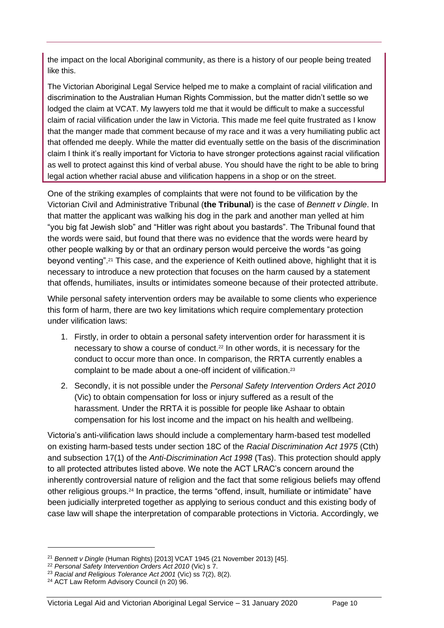the impact on the local Aboriginal community, as there is a history of our people being treated like this.

The Victorian Aboriginal Legal Service helped me to make a complaint of racial vilification and discrimination to the Australian Human Rights Commission, but the matter didn't settle so we lodged the claim at VCAT. My lawyers told me that it would be difficult to make a successful claim of racial vilification under the law in Victoria. This made me feel quite frustrated as I know that the manger made that comment because of my race and it was a very humiliating public act that offended me deeply. While the matter did eventually settle on the basis of the discrimination claim I think it's really important for Victoria to have stronger protections against racial vilification as well to protect against this kind of verbal abuse. You should have the right to be able to bring legal action whether racial abuse and vilification happens in a shop or on the street.

One of the striking examples of complaints that were not found to be vilification by the Victorian Civil and Administrative Tribunal (**the Tribunal**) is the case of *Bennett v Dingle*. In that matter the applicant was walking his dog in the park and another man yelled at him "you big fat Jewish slob" and "Hitler was right about you bastards". The Tribunal found that the words were said, but found that there was no evidence that the words were heard by other people walking by or that an ordinary person would perceive the words "as going beyond venting".<sup>21</sup> This case, and the experience of Keith outlined above, highlight that it is necessary to introduce a new protection that focuses on the harm caused by a statement that offends, humiliates, insults or intimidates someone because of their protected attribute.

While personal safety intervention orders may be available to some clients who experience this form of harm, there are two key limitations which require complementary protection under vilification laws:

- 1. Firstly, in order to obtain a personal safety intervention order for harassment it is necessary to show a course of conduct.<sup>22</sup> In other words, it is necessary for the conduct to occur more than once. In comparison, the RRTA currently enables a complaint to be made about a one-off incident of vilification.<sup>23</sup>
- 2. Secondly, it is not possible under the *Personal Safety Intervention Orders Act 2010*  (Vic) to obtain compensation for loss or injury suffered as a result of the harassment. Under the RRTA it is possible for people like Ashaar to obtain compensation for his lost income and the impact on his health and wellbeing.

Victoria's anti-vilification laws should include a complementary harm-based test modelled on existing harm-based tests under section 18C of the *Racial Discrimination Act 1975* (Cth) and subsection 17(1) of the *Anti-Discrimination Act 1998* (Tas). This protection should apply to all protected attributes listed above. We note the ACT LRAC's concern around the inherently controversial nature of religion and the fact that some religious beliefs may offend other religious groups.<sup>24</sup> In practice, the terms "offend, insult, humiliate or intimidate" have been judicially interpreted together as applying to serious conduct and this existing body of case law will shape the interpretation of comparable protections in Victoria. Accordingly, we

<sup>21</sup> *Bennett v Dingle* (Human Rights) [2013] VCAT 1945 (21 November 2013) [45].

<sup>22</sup> *Personal Safety Intervention Orders Act 2010* (Vic) s 7.

<sup>23</sup> *Racial and Religious Tolerance Act 2001* (Vic) ss 7(2), 8(2).

<sup>24</sup> ACT Law Reform Advisory Council (n 20) 96.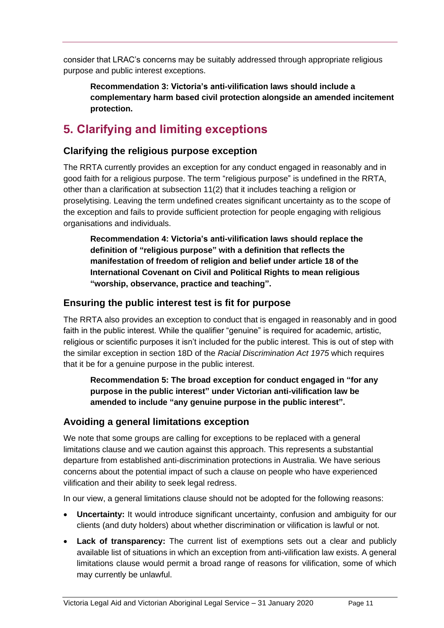consider that LRAC's concerns may be suitably addressed through appropriate religious purpose and public interest exceptions.

**Recommendation 3: Victoria's anti-vilification laws should include a complementary harm based civil protection alongside an amended incitement protection.**

# <span id="page-14-0"></span>**5. Clarifying and limiting exceptions**

## <span id="page-14-1"></span>**Clarifying the religious purpose exception**

The RRTA currently provides an exception for any conduct engaged in reasonably and in good faith for a religious purpose. The term "religious purpose" is undefined in the RRTA, other than a clarification at subsection 11(2) that it includes teaching a religion or proselytising. Leaving the term undefined creates significant uncertainty as to the scope of the exception and fails to provide sufficient protection for people engaging with religious organisations and individuals.

**Recommendation 4: Victoria's anti-vilification laws should replace the definition of "religious purpose" with a definition that reflects the manifestation of freedom of religion and belief under article 18 of the International Covenant on Civil and Political Rights to mean religious "worship, observance, practice and teaching".** 

## <span id="page-14-2"></span>**Ensuring the public interest test is fit for purpose**

The RRTA also provides an exception to conduct that is engaged in reasonably and in good faith in the public interest. While the qualifier "genuine" is required for academic, artistic, religious or scientific purposes it isn't included for the public interest. This is out of step with the similar exception in section 18D of the *Racial Discrimination Act 1975* which requires that it be for a genuine purpose in the public interest.

**Recommendation 5: The broad exception for conduct engaged in "for any purpose in the public interest" under Victorian anti-vilification law be amended to include "any genuine purpose in the public interest".** 

## <span id="page-14-3"></span>**Avoiding a general limitations exception**

We note that some groups are calling for exceptions to be replaced with a general limitations clause and we caution against this approach. This represents a substantial departure from established anti-discrimination protections in Australia. We have serious concerns about the potential impact of such a clause on people who have experienced vilification and their ability to seek legal redress.

In our view, a general limitations clause should not be adopted for the following reasons:

- **Uncertainty:** It would introduce significant uncertainty, confusion and ambiguity for our clients (and duty holders) about whether discrimination or vilification is lawful or not.
- **Lack of transparency:** The current list of exemptions sets out a clear and publicly available list of situations in which an exception from anti-vilification law exists. A general limitations clause would permit a broad range of reasons for vilification, some of which may currently be unlawful.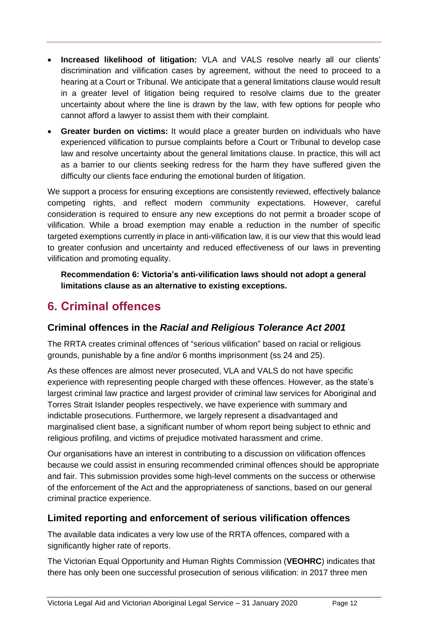- **Increased likelihood of litigation:** VLA and VALS resolve nearly all our clients' discrimination and vilification cases by agreement, without the need to proceed to a hearing at a Court or Tribunal. We anticipate that a general limitations clause would result in a greater level of litigation being required to resolve claims due to the greater uncertainty about where the line is drawn by the law, with few options for people who cannot afford a lawyer to assist them with their complaint.
- **Greater burden on victims:** It would place a greater burden on individuals who have experienced vilification to pursue complaints before a Court or Tribunal to develop case law and resolve uncertainty about the general limitations clause. In practice, this will act as a barrier to our clients seeking redress for the harm they have suffered given the difficulty our clients face enduring the emotional burden of litigation.

We support a process for ensuring exceptions are consistently reviewed, effectively balance competing rights, and reflect modern community expectations. However, careful consideration is required to ensure any new exceptions do not permit a broader scope of vilification. While a broad exemption may enable a reduction in the number of specific targeted exemptions currently in place in anti-vilification law, it is our view that this would lead to greater confusion and uncertainty and reduced effectiveness of our laws in preventing vilification and promoting equality.

**Recommendation 6: Victoria's anti-vilification laws should not adopt a general limitations clause as an alternative to existing exceptions.**

# <span id="page-15-0"></span>**6. Criminal offences**

# <span id="page-15-1"></span>**Criminal offences in the** *Racial and Religious Tolerance Act 2001*

The RRTA creates criminal offences of "serious vilification" based on racial or religious grounds, punishable by a fine and/or 6 months imprisonment (ss 24 and 25).

As these offences are almost never prosecuted, VLA and VALS do not have specific experience with representing people charged with these offences. However, as the state's largest criminal law practice and largest provider of criminal law services for Aboriginal and Torres Strait Islander peoples respectively, we have experience with summary and indictable prosecutions. Furthermore, we largely represent a disadvantaged and marginalised client base, a significant number of whom report being subject to ethnic and religious profiling, and victims of prejudice motivated harassment and crime.

Our organisations have an interest in contributing to a discussion on vilification offences because we could assist in ensuring recommended criminal offences should be appropriate and fair. This submission provides some high-level comments on the success or otherwise of the enforcement of the Act and the appropriateness of sanctions, based on our general criminal practice experience.

# <span id="page-15-2"></span>**Limited reporting and enforcement of serious vilification offences**

The available data indicates a very low use of the RRTA offences, compared with a significantly higher rate of reports.

The Victorian Equal Opportunity and Human Rights Commission (**VEOHRC**) indicates that there has only been one successful prosecution of serious vilification: in 2017 three men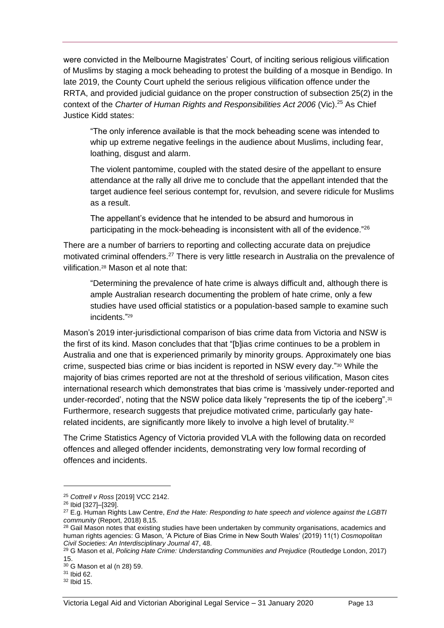were convicted in the Melbourne Magistrates' Court, of inciting serious religious vilification of Muslims by staging a mock beheading to protest the building of a mosque in Bendigo. In late 2019, the County Court upheld the serious religious vilification offence under the RRTA, and provided judicial guidance on the proper construction of subsection 25(2) in the context of the *Charter of Human Rights and Responsibilities Act 2006* (Vic).<sup>25</sup> As Chief Justice Kidd states:

"The only inference available is that the mock beheading scene was intended to whip up extreme negative feelings in the audience about Muslims, including fear, loathing, disgust and alarm.

The violent pantomime, coupled with the stated desire of the appellant to ensure attendance at the rally all drive me to conclude that the appellant intended that the target audience feel serious contempt for, revulsion, and severe ridicule for Muslims as a result.

The appellant's evidence that he intended to be absurd and humorous in participating in the mock-beheading is inconsistent with all of the evidence."26

There are a number of barriers to reporting and collecting accurate data on prejudice motivated criminal offenders.<sup>27</sup> There is very little research in Australia on the prevalence of vilification.<sup>28</sup> Mason et al note that:

<span id="page-16-0"></span>"Determining the prevalence of hate crime is always difficult and, although there is ample Australian research documenting the problem of hate crime, only a few studies have used official statistics or a population-based sample to examine such incidents." 29

Mason's 2019 inter-jurisdictional comparison of bias crime data from Victoria and NSW is the first of its kind. Mason concludes that that "[b]ias crime continues to be a problem in Australia and one that is experienced primarily by minority groups. Approximately one bias crime, suspected bias crime or bias incident is reported in NSW every day."<sup>30</sup> While the majority of bias crimes reported are not at the threshold of serious vilification, Mason cites international research which demonstrates that bias crime is 'massively under-reported and under-recorded', noting that the NSW police data likely "represents the tip of the iceberg".<sup>31</sup> Furthermore, research suggests that prejudice motivated crime, particularly gay haterelated incidents, are significantly more likely to involve a high level of brutality.<sup>32</sup>

The Crime Statistics Agency of Victoria provided VLA with the following data on recorded offences and alleged offender incidents, demonstrating very low formal recording of offences and incidents.

<sup>25</sup> *Cottrell v Ross* [2019] VCC 2142.

<sup>26</sup> Ibid [327]–[329].

<sup>27</sup> E.g. Human Rights Law Centre, *End the Hate: Responding to hate speech and violence against the LGBTI community* (Report, 2018) 8,15.

<sup>&</sup>lt;sup>28</sup> Gail Mason notes that existing studies have been undertaken by community organisations, academics and human rights agencies: G Mason, 'A Picture of Bias Crime in New South Wales' (2019) 11(1) *Cosmopolitan Civil Societies: An Interdisciplinary Journal* 47, 48.

<sup>29</sup> G Mason et al, *Policing Hate Crime: Understanding Communities and Prejudice* (Routledge London, 2017) 15.

<sup>30</sup> G Mason et al (n [28\)](#page-16-0) 59.

<sup>31</sup> Ibid 62.

<sup>32</sup> Ibid 15.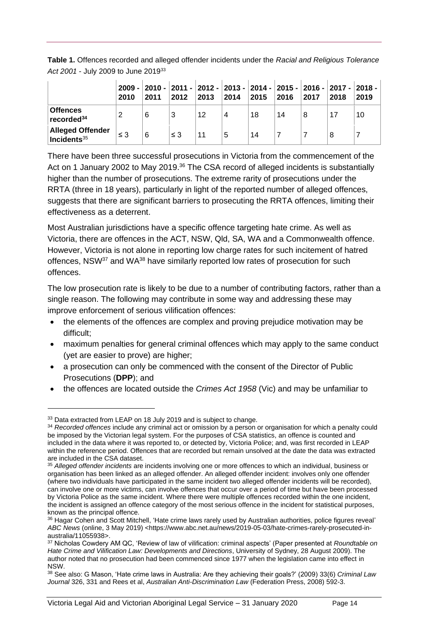**Table 1.** Offences recorded and alleged offender incidents under the *Racial and Religious Tolerance Act 2001* - July 2009 to June 2019<sup>33</sup>

|                                                   | 2010     | 2011 | 2012     | 2013 | 2014 | 2009 - 2010 - 2011 - 2012 - 2013 - 2014 - 2015 - 2016 - 2017 - 2018 -<br>2015 | 2016 | 2017 | 2018 | 2019 |
|---------------------------------------------------|----------|------|----------|------|------|-------------------------------------------------------------------------------|------|------|------|------|
| <b>Offences</b><br>recorded <sup>34</sup>         | 2        | 6    | 3        | 12   | 4    | 18                                                                            | 14   | 8    | 17   | 10   |
| <b>Alleged Offender</b><br>$\,$ Incidents $^{35}$ | $\leq$ 3 | 6    | $\leq$ 3 | 11   | 5    | 14                                                                            |      |      | 8    |      |

There have been three successful prosecutions in Victoria from the commencement of the Act on 1 January 2002 to May 2019.<sup>36</sup> The CSA record of alleged incidents is substantially higher than the number of prosecutions. The extreme rarity of prosecutions under the RRTA (three in 18 years), particularly in light of the reported number of alleged offences, suggests that there are significant barriers to prosecuting the RRTA offences, limiting their effectiveness as a deterrent.

Most Australian jurisdictions have a specific offence targeting hate crime. As well as Victoria, there are offences in the ACT, NSW, Qld, SA, WA and a Commonwealth offence. However, Victoria is not alone in reporting low charge rates for such incitement of hatred offences, NSW<sup>37</sup> and WA<sup>38</sup> have similarly reported low rates of prosecution for such offences.

The low prosecution rate is likely to be due to a number of contributing factors, rather than a single reason. The following may contribute in some way and addressing these may improve enforcement of serious vilification offences:

- the elements of the offences are complex and proving prejudice motivation may be difficult;
- maximum penalties for general criminal offences which may apply to the same conduct (yet are easier to prove) are higher;
- a prosecution can only be commenced with the consent of the Director of Public Prosecutions (**DPP**); and
- the offences are located outside the *Crimes Act 1958* (Vic) and may be unfamiliar to

<sup>&</sup>lt;sup>33</sup> Data extracted from LEAP on 18 July 2019 and is subject to change.

<sup>34</sup> *Recorded offences* include any criminal act or omission by a person or organisation for which a penalty could be imposed by the Victorian legal system. For the purposes of CSA statistics, an offence is counted and included in the data where it was reported to, or detected by, Victoria Police; and, was first recorded in LEAP within the reference period. Offences that are recorded but remain unsolved at the date the data was extracted are included in the CSA dataset.

<sup>35</sup> *Alleged offender incidents* are incidents involving one or more offences to which an individual, business or organisation has been linked as an alleged offender. An alleged offender incident: involves only one offender (where two individuals have participated in the same incident two alleged offender incidents will be recorded), can involve one or more victims, can involve offences that occur over a period of time but have been processed by Victoria Police as the same incident. Where there were multiple offences recorded within the one incident, the incident is assigned an offence category of the most serious offence in the incident for statistical purposes, known as the principal offence.

<sup>36</sup> Hagar Cohen and Scott Mitchell, 'Hate crime laws rarely used by Australian authorities, police figures reveal' *ABC News* (online, 3 May 2019) <https://www.abc.net.au/news/2019-05-03/hate-crimes-rarely-prosecuted-inaustralia/11055938>.

<sup>37</sup> Nicholas Cowdery AM QC, 'Review of law of vilification: criminal aspects' (Paper presented at *Roundtable on Hate Crime and Vilification Law: Developments and Directions*, University of Sydney, 28 August 2009). The author noted that no prosecution had been commenced since 1977 when the legislation came into effect in NSW.

<sup>38</sup> See also: G Mason, 'Hate crime laws in Australia: Are they achieving their goals?' (2009) 33(6) *Criminal Law Journal* 326, 331 and Rees et al, *Australian Anti-Discrimination Law* (Federation Press, 2008) 592-3.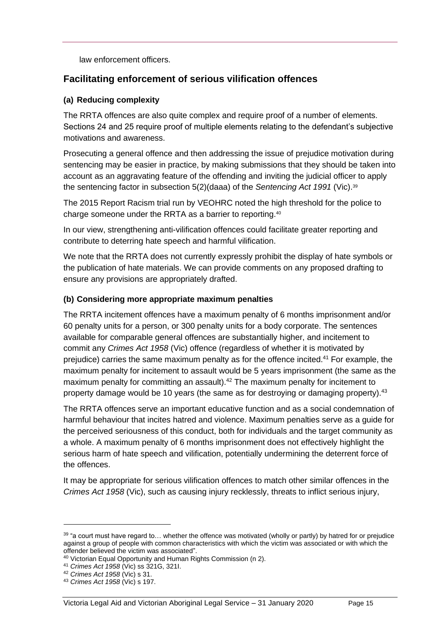law enforcement officers.

## <span id="page-18-0"></span>**Facilitating enforcement of serious vilification offences**

### **(a) Reducing complexity**

The RRTA offences are also quite complex and require proof of a number of elements. Sections 24 and 25 require proof of multiple elements relating to the defendant's subjective motivations and awareness.

Prosecuting a general offence and then addressing the issue of prejudice motivation during sentencing may be easier in practice, by making submissions that they should be taken into account as an aggravating feature of the offending and inviting the judicial officer to apply the sentencing factor in subsection 5(2)(daaa) of the *Sentencing Act 1991* (Vic).<sup>39</sup>

The 2015 Report Racism trial run by VEOHRC noted the high threshold for the police to charge someone under the RRTA as a barrier to reporting.<sup>40</sup>

In our view, strengthening anti-vilification offences could facilitate greater reporting and contribute to deterring hate speech and harmful vilification.

We note that the RRTA does not currently expressly prohibit the display of hate symbols or the publication of hate materials. We can provide comments on any proposed drafting to ensure any provisions are appropriately drafted.

### **(b) Considering more appropriate maximum penalties**

The RRTA incitement offences have a maximum penalty of 6 months imprisonment and/or 60 penalty units for a person, or 300 penalty units for a body corporate. The sentences available for comparable general offences are substantially higher, and incitement to commit any *Crimes Act 1958* (Vic) offence (regardless of whether it is motivated by prejudice) carries the same maximum penalty as for the offence incited.<sup>41</sup> For example, the maximum penalty for incitement to assault would be 5 years imprisonment (the same as the maximum penalty for committing an assault).<sup>42</sup> The maximum penalty for incitement to property damage would be 10 years (the same as for destroying or damaging property).  $43$ 

The RRTA offences serve an important educative function and as a social condemnation of harmful behaviour that incites hatred and violence. Maximum penalties serve as a guide for the perceived seriousness of this conduct, both for individuals and the target community as a whole. A maximum penalty of 6 months imprisonment does not effectively highlight the serious harm of hate speech and vilification, potentially undermining the deterrent force of the offences.

It may be appropriate for serious vilification offences to match other similar offences in the *Crimes Act 1958* (Vic), such as causing injury recklessly, threats to inflict serious injury,

 $39$  "a court must have regard to... whether the offence was motivated (wholly or partly) by hatred for or prejudice against a group of people with common characteristics with which the victim was associated or with which the offender believed the victim was associated".

<sup>40</sup> Victorian Equal Opportunity and Human Rights Commission (n 2).

<sup>41</sup> *Crimes Act 1958* (Vic) ss 321G, 321I.

<sup>42</sup> *Crimes Act 1958* (Vic) s 31.

<sup>43</sup> *Crimes Act 1958* (Vic) s 197.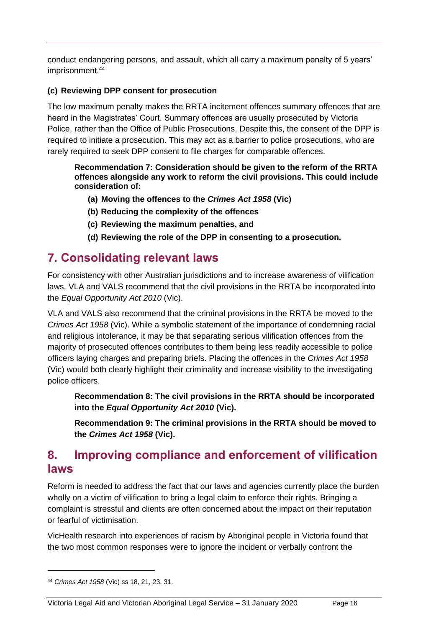conduct endangering persons, and assault, which all carry a maximum penalty of 5 years' imprisonment.<sup>44</sup>

## **(c) Reviewing DPP consent for prosecution**

The low maximum penalty makes the RRTA incitement offences summary offences that are heard in the Magistrates' Court. Summary offences are usually prosecuted by Victoria Police, rather than the Office of Public Prosecutions. Despite this, the consent of the DPP is required to initiate a prosecution. This may act as a barrier to police prosecutions, who are rarely required to seek DPP consent to file charges for comparable offences.

#### **Recommendation 7: Consideration should be given to the reform of the RRTA offences alongside any work to reform the civil provisions. This could include consideration of:**

- **(a) Moving the offences to the** *Crimes Act 1958* **(Vic)**
- **(b) Reducing the complexity of the offences**
- **(c) Reviewing the maximum penalties, and**
- **(d) Reviewing the role of the DPP in consenting to a prosecution.**

# <span id="page-19-0"></span>**7. Consolidating relevant laws**

For consistency with other Australian jurisdictions and to increase awareness of vilification laws, VLA and VALS recommend that the civil provisions in the RRTA be incorporated into the *Equal Opportunity Act 2010* (Vic).

VLA and VALS also recommend that the criminal provisions in the RRTA be moved to the *Crimes Act 1958* (Vic). While a symbolic statement of the importance of condemning racial and religious intolerance, it may be that separating serious vilification offences from the majority of prosecuted offences contributes to them being less readily accessible to police officers laying charges and preparing briefs. Placing the offences in the *Crimes Act 1958* (Vic) would both clearly highlight their criminality and increase visibility to the investigating police officers.

**Recommendation 8: The civil provisions in the RRTA should be incorporated into the** *Equal Opportunity Act 2010* **(Vic).**

**Recommendation 9: The criminal provisions in the RRTA should be moved to the** *Crimes Act 1958* **(Vic).**

# <span id="page-19-1"></span>**8. Improving compliance and enforcement of vilification laws**

Reform is needed to address the fact that our laws and agencies currently place the burden wholly on a victim of vilification to bring a legal claim to enforce their rights. Bringing a complaint is stressful and clients are often concerned about the impact on their reputation or fearful of victimisation.

VicHealth research into experiences of racism by Aboriginal people in Victoria found that the two most common responses were to ignore the incident or verbally confront the

<sup>44</sup> *Crimes Act 1958* (Vic) ss 18, 21, 23, 31.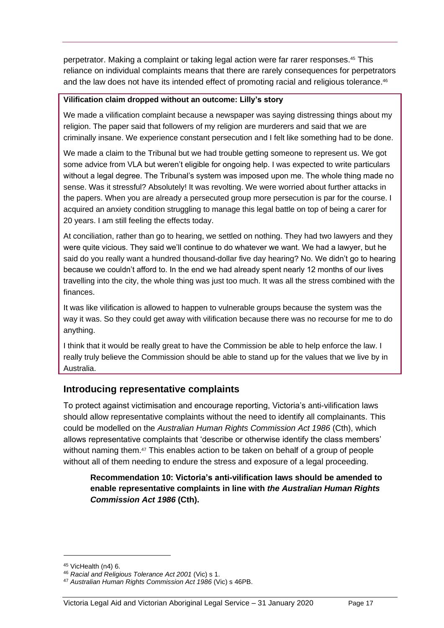perpetrator. Making a complaint or taking legal action were far rarer responses.<sup>45</sup> This reliance on individual complaints means that there are rarely consequences for perpetrators and the law does not have its intended effect of promoting racial and religious tolerance.<sup>46</sup>

#### **Vilification claim dropped without an outcome: Lilly's story**

We made a vilification complaint because a newspaper was saying distressing things about my religion. The paper said that followers of my religion are murderers and said that we are criminally insane. We experience constant persecution and I felt like something had to be done.

We made a claim to the Tribunal but we had trouble getting someone to represent us. We got some advice from VLA but weren't eligible for ongoing help. I was expected to write particulars without a legal degree. The Tribunal's system was imposed upon me. The whole thing made no sense. Was it stressful? Absolutely! It was revolting. We were worried about further attacks in the papers. When you are already a persecuted group more persecution is par for the course. I acquired an anxiety condition struggling to manage this legal battle on top of being a carer for 20 years. I am still feeling the effects today.

At conciliation, rather than go to hearing, we settled on nothing. They had two lawyers and they were quite vicious. They said we'll continue to do whatever we want. We had a lawyer, but he said do you really want a hundred thousand-dollar five day hearing? No. We didn't go to hearing because we couldn't afford to. In the end we had already spent nearly 12 months of our lives travelling into the city, the whole thing was just too much. It was all the stress combined with the finances.

It was like vilification is allowed to happen to vulnerable groups because the system was the way it was. So they could get away with vilification because there was no recourse for me to do anything.

I think that it would be really great to have the Commission be able to help enforce the law. I really truly believe the Commission should be able to stand up for the values that we live by in Australia.

## <span id="page-20-0"></span>**Introducing representative complaints**

To protect against victimisation and encourage reporting, Victoria's anti-vilification laws should allow representative complaints without the need to identify all complainants. This could be modelled on the *Australian Human Rights Commission Act 1986* (Cth), which allows representative complaints that 'describe or otherwise identify the class members' without naming them.<sup>47</sup> This enables action to be taken on behalf of a group of people without all of them needing to endure the stress and exposure of a legal proceeding.

**Recommendation 10: Victoria's anti-vilification laws should be amended to enable representative complaints in line with** *the Australian Human Rights Commission Act 1986* **(Cth).** 

<sup>45</sup> VicHealth (n4) 6.

<sup>46</sup> *Racial and Religious Tolerance Act 2001* (Vic) s 1.

<sup>47</sup> *Australian Human Rights Commission Act 1986* (Vic) s 46PB.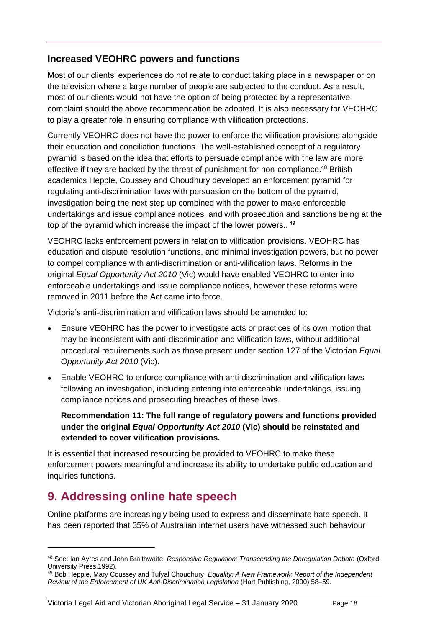## <span id="page-21-0"></span>**Increased VEOHRC powers and functions**

Most of our clients' experiences do not relate to conduct taking place in a newspaper or on the television where a large number of people are subjected to the conduct. As a result, most of our clients would not have the option of being protected by a representative complaint should the above recommendation be adopted. It is also necessary for VEOHRC to play a greater role in ensuring compliance with vilification protections.

Currently VEOHRC does not have the power to enforce the vilification provisions alongside their education and conciliation functions. The well-established concept of a regulatory pyramid is based on the idea that efforts to persuade compliance with the law are more effective if they are backed by the threat of punishment for non-compliance.<sup>48</sup> British academics Hepple, Coussey and Choudhury developed an enforcement pyramid for regulating anti-discrimination laws with persuasion on the bottom of the pyramid, investigation being the next step up combined with the power to make enforceable undertakings and issue compliance notices, and with prosecution and sanctions being at the top of the pyramid which increase the impact of the lower powers..<sup>49</sup>

VEOHRC lacks enforcement powers in relation to vilification provisions. VEOHRC has education and dispute resolution functions, and minimal investigation powers, but no power to compel compliance with anti-discrimination or anti-vilification laws. Reforms in the original *Equal Opportunity Act 2010* (Vic) would have enabled VEOHRC to enter into enforceable undertakings and issue compliance notices, however these reforms were removed in 2011 before the Act came into force.

Victoria's anti-discrimination and vilification laws should be amended to:

- Ensure VEOHRC has the power to investigate acts or practices of its own motion that may be inconsistent with anti-discrimination and vilification laws, without additional procedural requirements such as those present under section 127 of the Victorian *Equal Opportunity Act 2010* (Vic).
- Enable VEOHRC to enforce compliance with anti-discrimination and vilification laws following an investigation, including entering into enforceable undertakings, issuing compliance notices and prosecuting breaches of these laws.

## **Recommendation 11: The full range of regulatory powers and functions provided under the original** *Equal Opportunity Act 2010* **(Vic) should be reinstated and extended to cover vilification provisions.**

It is essential that increased resourcing be provided to VEOHRC to make these enforcement powers meaningful and increase its ability to undertake public education and inquiries functions.

# <span id="page-21-1"></span>**9. Addressing online hate speech**

Online platforms are increasingly being used to express and disseminate hate speech. It has been reported that 35% of Australian internet users have witnessed such behaviour

<sup>48</sup> See: Ian Ayres and John Braithwaite, *Responsive Regulation: Transcending the Deregulation Debate* (Oxford University Press,1992).

<sup>49</sup> Bob Hepple, Mary Coussey and Tufyal Choudhury, *Equality: A New Framework: Report of the Independent Review of the Enforcement of UK Anti-Discrimination Legislation* (Hart Publishing, 2000) 58–59.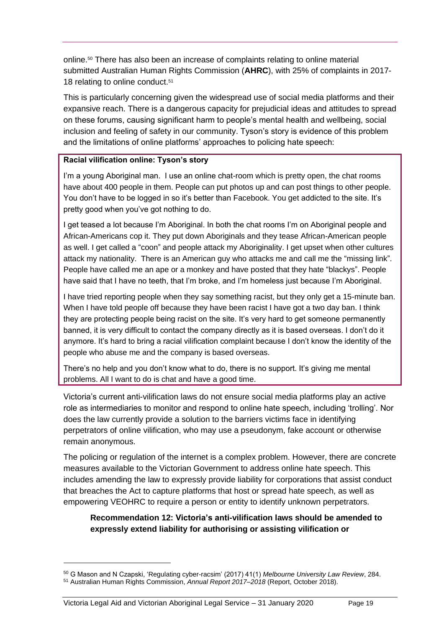online.<sup>50</sup> There has also been an increase of complaints relating to online material submitted Australian Human Rights Commission (**AHRC**), with 25% of complaints in 2017- 18 relating to online conduct.<sup>51</sup>

This is particularly concerning given the widespread use of social media platforms and their expansive reach. There is a dangerous capacity for prejudicial ideas and attitudes to spread on these forums, causing significant harm to people's mental health and wellbeing, social inclusion and feeling of safety in our community. Tyson's story is evidence of this problem and the limitations of online platforms' approaches to policing hate speech:

#### **Racial vilification online: Tyson's story**

I'm a young Aboriginal man. I use an online chat-room which is pretty open, the chat rooms have about 400 people in them. People can put photos up and can post things to other people. You don't have to be logged in so it's better than Facebook. You get addicted to the site. It's pretty good when you've got nothing to do.

I get teased a lot because I'm Aboriginal. In both the chat rooms I'm on Aboriginal people and African-Americans cop it. They put down Aboriginals and they tease African-American people as well. I get called a "coon" and people attack my Aboriginality. I get upset when other cultures attack my nationality. There is an American guy who attacks me and call me the "missing link". People have called me an ape or a monkey and have posted that they hate "blackys". People have said that I have no teeth, that I'm broke, and I'm homeless just because I'm Aboriginal.

I have tried reporting people when they say something racist, but they only get a 15-minute ban. When I have told people off because they have been racist I have got a two day ban. I think they are protecting people being racist on the site. It's very hard to get someone permanently banned, it is very difficult to contact the company directly as it is based overseas. I don't do it anymore. It's hard to bring a racial vilification complaint because I don't know the identity of the people who abuse me and the company is based overseas.

There's no help and you don't know what to do, there is no support. It's giving me mental problems. All I want to do is chat and have a good time.

Victoria's current anti-vilification laws do not ensure social media platforms play an active role as intermediaries to monitor and respond to online hate speech, including 'trolling'. Nor does the law currently provide a solution to the barriers victims face in identifying perpetrators of online vilification, who may use a pseudonym, fake account or otherwise remain anonymous.

The policing or regulation of the internet is a complex problem. However, there are concrete measures available to the Victorian Government to address online hate speech. This includes amending the law to expressly provide liability for corporations that assist conduct that breaches the Act to capture platforms that host or spread hate speech, as well as empowering VEOHRC to require a person or entity to identify unknown perpetrators.

### **Recommendation 12: Victoria's anti-vilification laws should be amended to expressly extend liability for authorising or assisting vilification or**

<sup>50</sup> G Mason and N Czapski, 'Regulating cyber-racsim' (2017) 41(1) *Melbourne University Law Review*, 284. <sup>51</sup> Australian Human Rights Commission, *Annual Report 2017–2018* (Report, October 2018).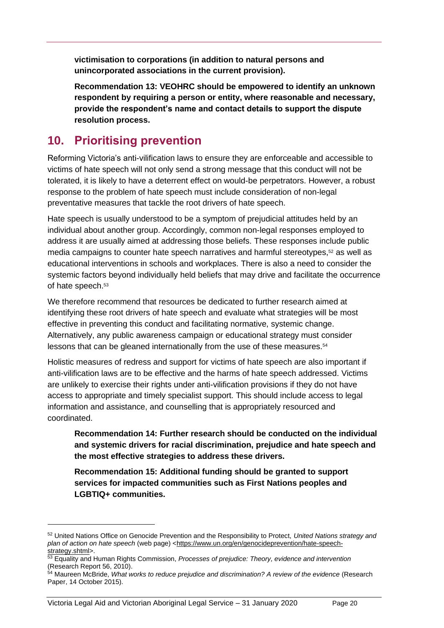**victimisation to corporations (in addition to natural persons and unincorporated associations in the current provision).** 

**Recommendation 13: VEOHRC should be empowered to identify an unknown respondent by requiring a person or entity, where reasonable and necessary, provide the respondent's name and contact details to support the dispute resolution process.**

# <span id="page-23-0"></span>**10. Prioritising prevention**

Reforming Victoria's anti-vilification laws to ensure they are enforceable and accessible to victims of hate speech will not only send a strong message that this conduct will not be tolerated, it is likely to have a deterrent effect on would-be perpetrators. However, a robust response to the problem of hate speech must include consideration of non-legal preventative measures that tackle the root drivers of hate speech.

Hate speech is usually understood to be a symptom of prejudicial attitudes held by an individual about another group. Accordingly, common non-legal responses employed to address it are usually aimed at addressing those beliefs. These responses include public media campaigns to counter hate speech narratives and harmful stereotypes,<sup>52</sup> as well as educational interventions in schools and workplaces. There is also a need to consider the systemic factors beyond individually held beliefs that may drive and facilitate the occurrence of hate speech.<sup>53</sup>

We therefore recommend that resources be dedicated to further research aimed at identifying these root drivers of hate speech and evaluate what strategies will be most effective in preventing this conduct and facilitating normative, systemic change. Alternatively, any public awareness campaign or educational strategy must consider lessons that can be gleaned internationally from the use of these measures.<sup>54</sup>

Holistic measures of redress and support for victims of hate speech are also important if anti-vilification laws are to be effective and the harms of hate speech addressed. Victims are unlikely to exercise their rights under anti-vilification provisions if they do not have access to appropriate and timely specialist support. This should include access to legal information and assistance, and counselling that is appropriately resourced and coordinated.

**Recommendation 14: Further research should be conducted on the individual and systemic drivers for racial discrimination, prejudice and hate speech and the most effective strategies to address these drivers.** 

**Recommendation 15: Additional funding should be granted to support services for impacted communities such as First Nations peoples and LGBTIQ+ communities.** 

<sup>52</sup> United Nations Office on Genocide Prevention and the Responsibility to Protect, *United Nations strategy and*  plan of action on hate speech (web page) [<https://www.un.org/en/genocideprevention/hate-speech](https://www.un.org/en/genocideprevention/hate-speech-strategy.shtml)[strategy.shtml>](https://www.un.org/en/genocideprevention/hate-speech-strategy.shtml).

<sup>53</sup> Equality and Human Rights Commission, *Processes of prejudice: Theory, evidence and intervention*  (Research Report 56, 2010).

<sup>54</sup> Maureen McBride, *What works to reduce prejudice and discrimination? A review of the evidence* (Research Paper, 14 October 2015).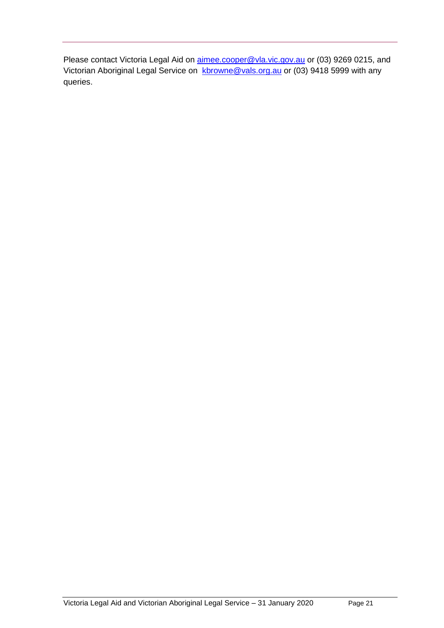Please contact Victoria Legal Aid on [aimee.cooper@vla.vic.gov.au](mailto:aimee.cooper@vla.vic.gov.au) or (03) 9269 0215, and Victorian Aboriginal Legal Service on [kbrowne@vals.org.au](mailto:kbrowne@vals.org.au) or (03) 9418 5999 with any queries.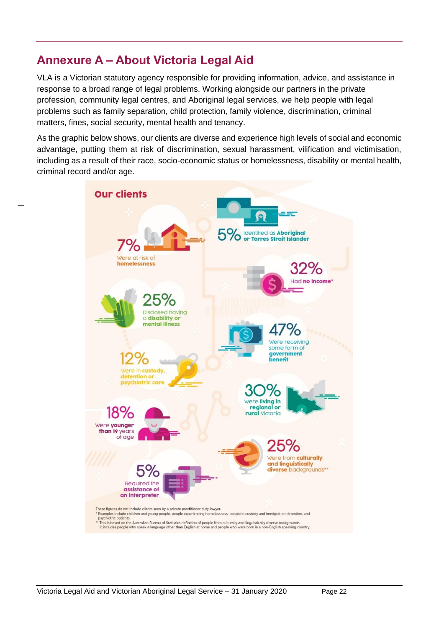# <span id="page-25-0"></span>**Annexure A – About Victoria Legal Aid**

VLA is a Victorian statutory agency responsible for providing information, advice, and assistance in response to a broad range of legal problems. Working alongside our partners in the private profession, community legal centres, and Aboriginal legal services, we help people with legal problems such as family separation, child protection, family violence, discrimination, criminal matters, fines, social security, mental health and tenancy.

As the graphic below shows, our clients are diverse and experience high levels of social and economic advantage, putting them at risk of discrimination, sexual harassment, vilification and victimisation, including as a result of their race, socio-economic status or homelessness, disability or mental health, criminal record and/or age.

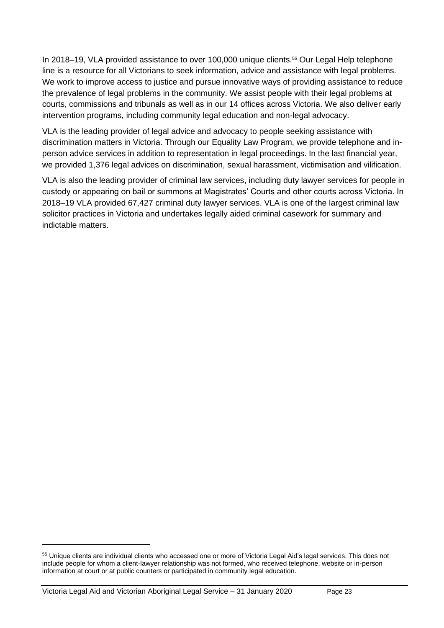In 2018–19, VLA provided assistance to over 100,000 unique clients.<sup>55</sup> Our Legal Help telephone line is a resource for all Victorians to seek information, advice and assistance with legal problems. We work to improve access to justice and pursue innovative ways of providing assistance to reduce the prevalence of legal problems in the community. We assist people with their legal problems at courts, commissions and tribunals as well as in our 14 offices across Victoria. We also deliver early intervention programs, including community legal education and non-legal advocacy.

VLA is the leading provider of legal advice and advocacy to people seeking assistance with discrimination matters in Victoria. Through our Equality Law Program, we provide telephone and inperson advice services in addition to representation in legal proceedings. In the last financial year, we provided 1,376 legal advices on discrimination, sexual harassment, victimisation and vilification.

VLA is also the leading provider of criminal law services, including duty lawyer services for people in custody or appearing on bail or summons at Magistrates' Courts and other courts across Victoria. In 2018–19 VLA provided 67,427 criminal duty lawyer services. VLA is one of the largest criminal law solicitor practices in Victoria and undertakes legally aided criminal casework for summary and indictable matters.

Victoria Legal Aid and Victorian Aboriginal Legal Service – 31 January 2020 Page 23

<sup>55</sup> Unique clients are individual clients who accessed one or more of Victoria Legal Aid's legal services. This does not include people for whom a client-lawyer relationship was not formed, who received telephone, website or in-person information at court or at public counters or participated in community legal education.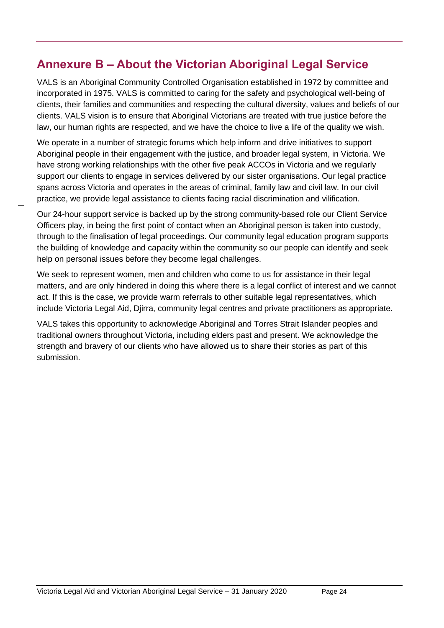# <span id="page-27-0"></span>**Annexure B – About the Victorian Aboriginal Legal Service**

VALS is an Aboriginal Community Controlled Organisation established in 1972 by committee and incorporated in 1975. VALS is committed to caring for the safety and psychological well-being of clients, their families and communities and respecting the cultural diversity, values and beliefs of our clients. VALS vision is to ensure that Aboriginal Victorians are treated with true justice before the law, our human rights are respected, and we have the choice to live a life of the quality we wish.

We operate in a number of strategic forums which help inform and drive initiatives to support Aboriginal people in their engagement with the justice, and broader legal system, in Victoria. We have strong working relationships with the other five peak ACCOs in Victoria and we regularly support our clients to engage in services delivered by our sister organisations. Our legal practice spans across Victoria and operates in the areas of criminal, family law and civil law. In our civil practice, we provide legal assistance to clients facing racial discrimination and vilification.

Our 24-hour support service is backed up by the strong community-based role our Client Service Officers play, in being the first point of contact when an Aboriginal person is taken into custody, through to the finalisation of legal proceedings. Our community legal education program supports the building of knowledge and capacity within the community so our people can identify and seek help on personal issues before they become legal challenges.

We seek to represent women, men and children who come to us for assistance in their legal matters, and are only hindered in doing this where there is a legal conflict of interest and we cannot act. If this is the case, we provide warm referrals to other suitable legal representatives, which include Victoria Legal Aid, Djirra, community legal centres and private practitioners as appropriate.

VALS takes this opportunity to acknowledge Aboriginal and Torres Strait Islander peoples and traditional owners throughout Victoria, including elders past and present. We acknowledge the strength and bravery of our clients who have allowed us to share their stories as part of this submission.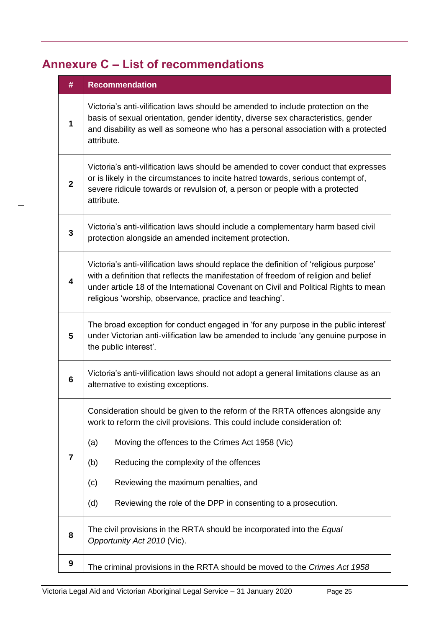# <span id="page-28-0"></span>**Annexure C – List of recommendations**

| #              | <b>Recommendation</b>                                                                                                                                                                                                                                                                                                                                                                           |  |  |  |  |  |  |  |
|----------------|-------------------------------------------------------------------------------------------------------------------------------------------------------------------------------------------------------------------------------------------------------------------------------------------------------------------------------------------------------------------------------------------------|--|--|--|--|--|--|--|
| $\mathbf{1}$   | Victoria's anti-vilification laws should be amended to include protection on the<br>basis of sexual orientation, gender identity, diverse sex characteristics, gender<br>and disability as well as someone who has a personal association with a protected<br>attribute.                                                                                                                        |  |  |  |  |  |  |  |
| $\overline{2}$ | Victoria's anti-vilification laws should be amended to cover conduct that expresses<br>or is likely in the circumstances to incite hatred towards, serious contempt of,<br>severe ridicule towards or revulsion of, a person or people with a protected<br>attribute.                                                                                                                           |  |  |  |  |  |  |  |
| 3              | Victoria's anti-vilification laws should include a complementary harm based civil<br>protection alongside an amended incitement protection.                                                                                                                                                                                                                                                     |  |  |  |  |  |  |  |
| 4              | Victoria's anti-vilification laws should replace the definition of 'religious purpose'<br>with a definition that reflects the manifestation of freedom of religion and belief<br>under article 18 of the International Covenant on Civil and Political Rights to mean<br>religious 'worship, observance, practice and teaching'.                                                                |  |  |  |  |  |  |  |
| 5              | The broad exception for conduct engaged in 'for any purpose in the public interest'<br>under Victorian anti-vilification law be amended to include 'any genuine purpose in<br>the public interest'.                                                                                                                                                                                             |  |  |  |  |  |  |  |
| 6              | Victoria's anti-vilification laws should not adopt a general limitations clause as an<br>alternative to existing exceptions.                                                                                                                                                                                                                                                                    |  |  |  |  |  |  |  |
| $\overline{7}$ | Consideration should be given to the reform of the RRTA offences alongside any<br>work to reform the civil provisions. This could include consideration of:<br>Moving the offences to the Crimes Act 1958 (Vic)<br>(a)<br>Reducing the complexity of the offences<br>(b)<br>Reviewing the maximum penalties, and<br>(c)<br>Reviewing the role of the DPP in consenting to a prosecution.<br>(d) |  |  |  |  |  |  |  |
|                |                                                                                                                                                                                                                                                                                                                                                                                                 |  |  |  |  |  |  |  |
| 8              | The civil provisions in the RRTA should be incorporated into the Equal<br>Opportunity Act 2010 (Vic).                                                                                                                                                                                                                                                                                           |  |  |  |  |  |  |  |
| 9              | The criminal provisions in the RRTA should be moved to the Crimes Act 1958                                                                                                                                                                                                                                                                                                                      |  |  |  |  |  |  |  |